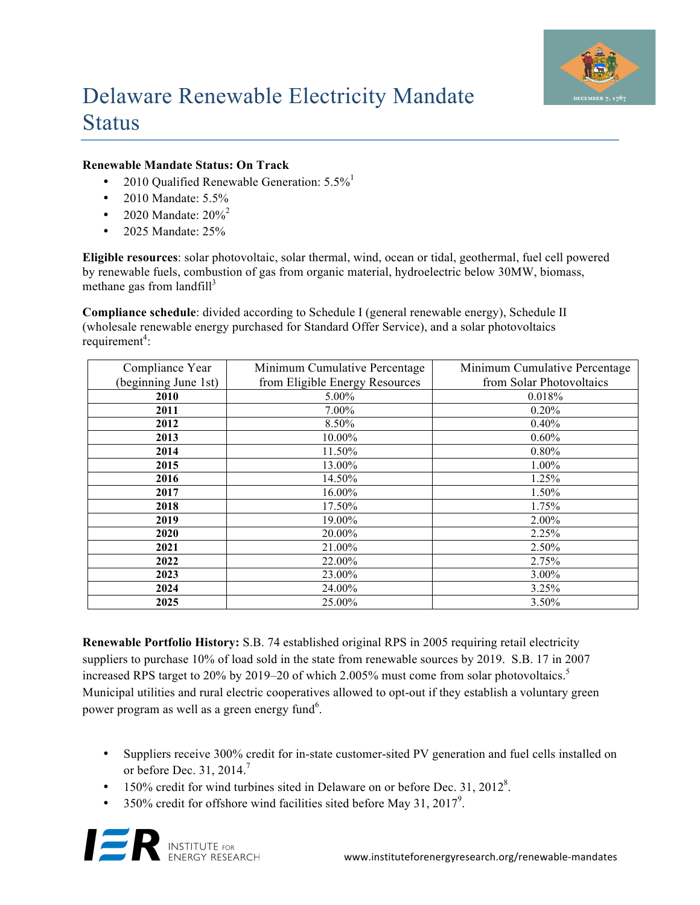

# Delaware Renewable Electricity Mandate **Status**

#### **Renewable Mandate Status: On Track**

- 2010 Qualified Renewable Generation:  $5.5\%$ <sup>1</sup>
- 2010 Mandate: 5.5%
- 2020 Mandate:  $20\%^{2}$
- 2025 Mandate: 25%

**Eligible resources**: solar photovoltaic, solar thermal, wind, ocean or tidal, geothermal, fuel cell powered by renewable fuels, combustion of gas from organic material, hydroelectric below 30MW, biomass, methane gas from landfill $3$ 

**Compliance schedule**: divided according to Schedule I (general renewable energy), Schedule II (wholesale renewable energy purchased for Standard Offer Service), and a solar photovoltaics  $requirement<sup>4</sup>$ :

| Compliance Year      | Minimum Cumulative Percentage  | Minimum Cumulative Percentage |
|----------------------|--------------------------------|-------------------------------|
| (beginning June 1st) | from Eligible Energy Resources | from Solar Photovoltaics      |
| 2010                 | 5.00%                          | 0.018%                        |
| 2011                 | 7.00%                          | 0.20%                         |
| 2012                 | 8.50%                          | $0.40\%$                      |
| 2013                 | 10.00%                         | $0.60\%$                      |
| 2014                 | 11.50%                         | $0.80\%$                      |
| 2015                 | 13.00%                         | 1.00%                         |
| 2016                 | 14.50%                         | 1.25%                         |
| 2017                 | 16.00%                         | 1.50%                         |
| 2018                 | 17.50%                         | 1.75%                         |
| 2019                 | 19.00%                         | $2.00\%$                      |
| 2020                 | 20.00%                         | 2.25%                         |
| 2021                 | 21.00%                         | 2.50%                         |
| 2022                 | 22.00%                         | 2.75%                         |
| 2023                 | 23.00%                         | 3.00%                         |
| 2024                 | 24.00%                         | 3.25%                         |
| 2025                 | 25.00%                         | 3.50%                         |

**Renewable Portfolio History:** S.B. 74 established original RPS in 2005 requiring retail electricity suppliers to purchase 10% of load sold in the state from renewable sources by 2019. S.B. 17 in 2007 increased RPS target to 20% by 2019–20 of which 2.005% must come from solar photovoltaics.<sup>5</sup> Municipal utilities and rural electric cooperatives allowed to opt-out if they establish a voluntary green power program as well as a green energy fund<sup>6</sup>.

- Suppliers receive 300% credit for in-state customer-sited PV generation and fuel cells installed on or before Dec. 31, 2014. 7
- $\bullet$  150% credit for wind turbines sited in Delaware on or before Dec. 31, 2012<sup>8</sup>.
- 350% credit for offshore wind facilities sited before May 31, 2017<sup>9</sup>.

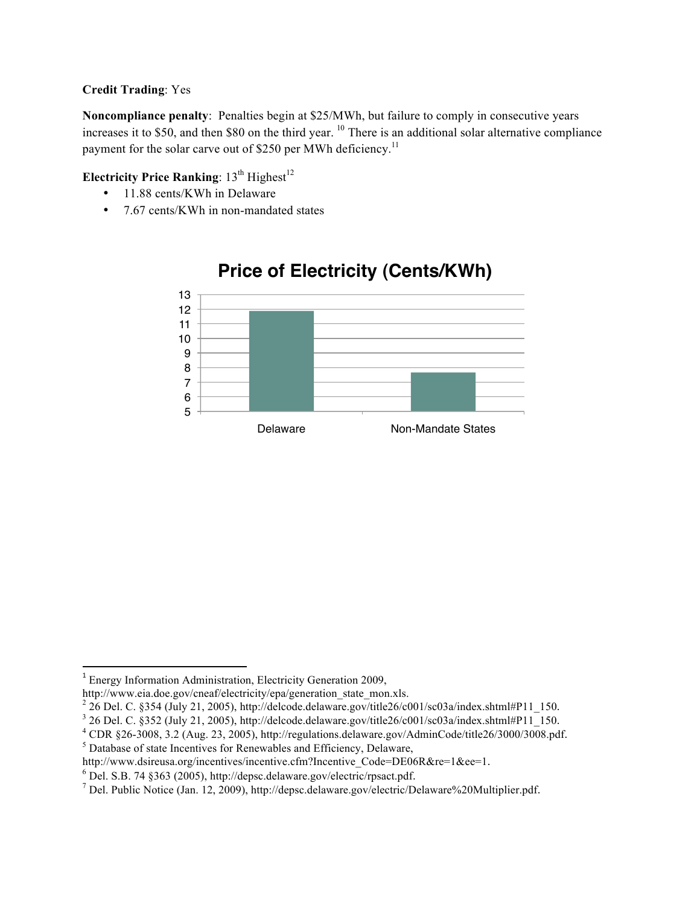#### **Credit Trading**: Yes

**Noncompliance penalty**: Penalties begin at \$25/MWh, but failure to comply in consecutive years increases it to \$50, and then \$80 on the third year.  $^{10}$  There is an additional solar alternative compliance payment for the solar carve out of \$250 per MWh deficiency.<sup>11</sup>

### **Electricity Price Ranking**:  $13^{th}$  Highest<sup>12</sup>

- 11.88 cents/KWh in Delaware
- 7.67 cents/KWh in non-mandated states



## **Price of Electricity (Cents/KWh)**

 <sup>1</sup> Energy Information Administration, Electricity Generation 2009,

http://www.eia.doe.gov/cneaf/electricity/epa/generation\_state\_mon.xls.

 $^{2}$  26 Del. C. §354 (July 21, 2005), http://delcode.delaware.gov/title26/c001/sc03a/index.shtml#P11\_150.

 $3$  26 Del. C. §352 (July 21, 2005), http://delcode.delaware.gov/title26/c001/sc03a/index.shtml#P11\_150.

<sup>4</sup> CDR §26-3008, 3.2 (Aug. 23, 2005), http://regulations.delaware.gov/AdminCode/title26/3000/3008.pdf.

<sup>&</sup>lt;sup>5</sup> Database of state Incentives for Renewables and Efficiency, Delaware,

http://www.dsireusa.org/incentives/incentive.cfm?Incentive\_Code=DE06R&re=1&ee=1.

<sup>6</sup> Del. S.B. 74 §363 (2005), http://depsc.delaware.gov/electric/rpsact.pdf.

<sup>&</sup>lt;sup>7</sup> Del. Public Notice (Jan. 12, 2009), http://depsc.delaware.gov/electric/Delaware%20Multiplier.pdf.